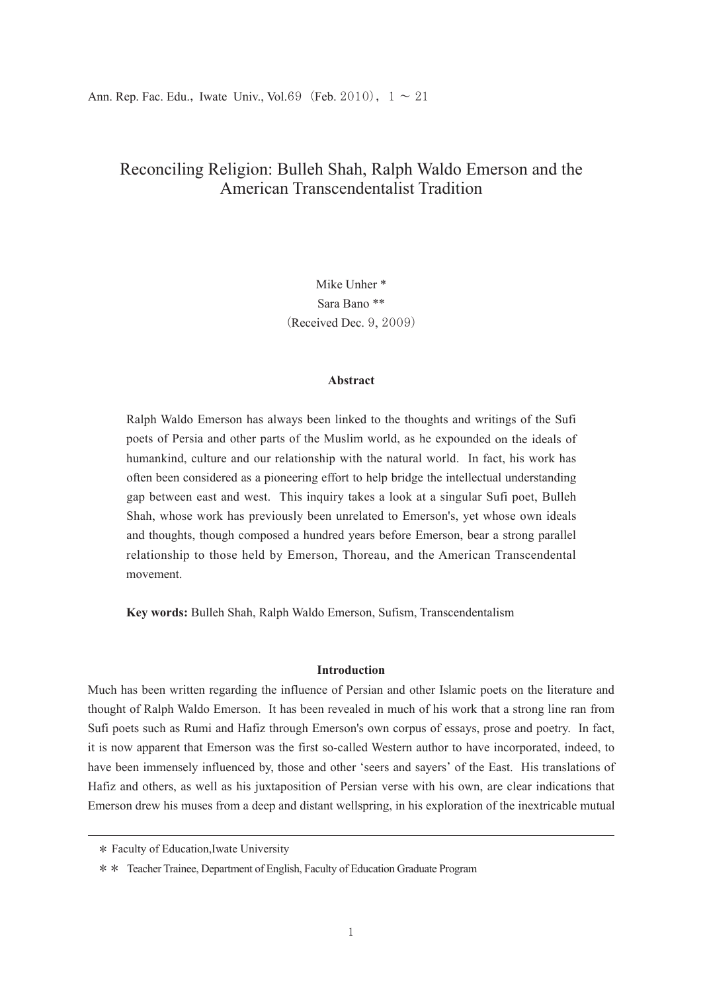Mike Unher \* Sara Bano \*\* (Received Dec. 9, 2009)

#### **Abstract**

Ralph Waldo Emerson has always been linked to the thoughts and writings of the Sufi poets of Persia and other parts of the Muslim world, as he expounded on the ideals of humankind, culture and our relationship with the natural world. In fact, his work has often been considered as a pioneering effort to help bridge the intellectual understanding gap between east and west. This inquiry takes a look at a singular Sufi poet, Bulleh Shah, whose work has previously been unrelated to Emerson's, yet whose own ideals and thoughts, though composed a hundred years before Emerson, bear a strong parallel relationship to those held by Emerson, Thoreau, and the American Transcendental movement.

**Key words:** Bulleh Shah, Ralph Waldo Emerson, Sufism, Transcendentalism

#### **Introduction**

Much has been written regarding the influence of Persian and other Islamic poets on the literature and thought of Ralph Waldo Emerson. It has been revealed in much of his work that a strong line ran from Sufi poets such as Rumi and Hafiz through Emerson's own corpus of essays, prose and poetry. In fact, it is now apparent that Emerson was the first so-called Western author to have incorporated, indeed, to have been immensely influenced by, those and other ʻseers and sayers' of the East. His translations of Hafiz and others, as well as his juxtaposition of Persian verse with his own, are clear indications that Emerson drew his muses from a deep and distant wellspring, in his exploration of the inextricable mutual

<sup>\*</sup> Faculty of Education,Iwate University

<sup>\*\*</sup>  Teacher Trainee, Department of English, Faculty of Education Graduate Program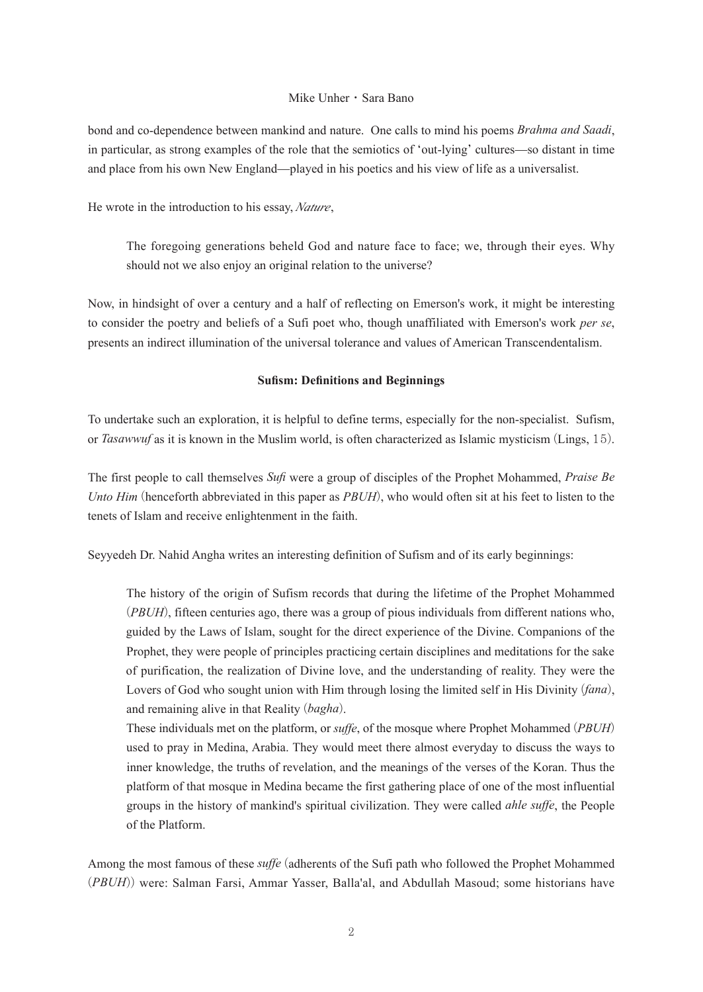bond and co-dependence between mankind and nature. One calls to mind his poems *Brahma and Saadi*, in particular, as strong examples of the role that the semiotics of ʻout-lying' cultures—so distant in time and place from his own New England—played in his poetics and his view of life as a universalist.

He wrote in the introduction to his essay,*Nature*,

The foregoing generations beheld God and nature face to face; we, through their eyes. Why should not we also enjoy an original relation to the universe?

Now, in hindsight of over a century and a half of reflecting on Emerson's work, it might be interesting to consider the poetry and beliefs of a Sufi poet who, though unaffiliated with Emerson's work *per se*, presents an indirect illumination of the universal tolerance and values of American Transcendentalism.

#### **Sufism: Definitions and Beginnings**

To undertake such an exploration, it is helpful to define terms, especially for the non-specialist. Sufism, or *Tasawwuf* as it is known in the Muslim world, is often characterized as Islamic mysticism (Lings, 15).

The first people to call themselves *Sufi* were a group of disciples of the Prophet Mohammed, *Praise Be Unto Him* (henceforth abbreviated in this paper as *PBUH*), who would often sit at his feet to listen to the tenets of Islam and receive enlightenment in the faith.

Seyyedeh Dr. Nahid Angha writes an interesting definition of Sufism and of its early beginnings:

The history of the origin of Sufism records that during the lifetime of the Prophet Mohammed (*PBUH*), fifteen centuries ago, there was a group of pious individuals from different nations who, guided by the Laws of Islam, sought for the direct experience of the Divine. Companions of the Prophet, they were people of principles practicing certain disciplines and meditations for the sake of purification, the realization of Divine love, and the understanding of reality. They were the Lovers of God who sought union with Him through losing the limited self in His Divinity (*fana*), and remaining alive in that Reality (*bagha*).

These individuals met on the platform, or *suffe*, of the mosque where Prophet Mohammed (*PBUH*) used to pray in Medina, Arabia. They would meet there almost everyday to discuss the ways to inner knowledge, the truths of revelation, and the meanings of the verses of the Koran. Thus the platform of that mosque in Medina became the first gathering place of one of the most influential groups in the history of mankind's spiritual civilization. They were called *ahle suffe*, the People of the Platform.

Among the most famous of these *suffe* (adherents of the Sufi path who followed the Prophet Mohammed (*PBUH*)) were: Salman Farsi, Ammar Yasser, Balla'al, and Abdullah Masoud; some historians have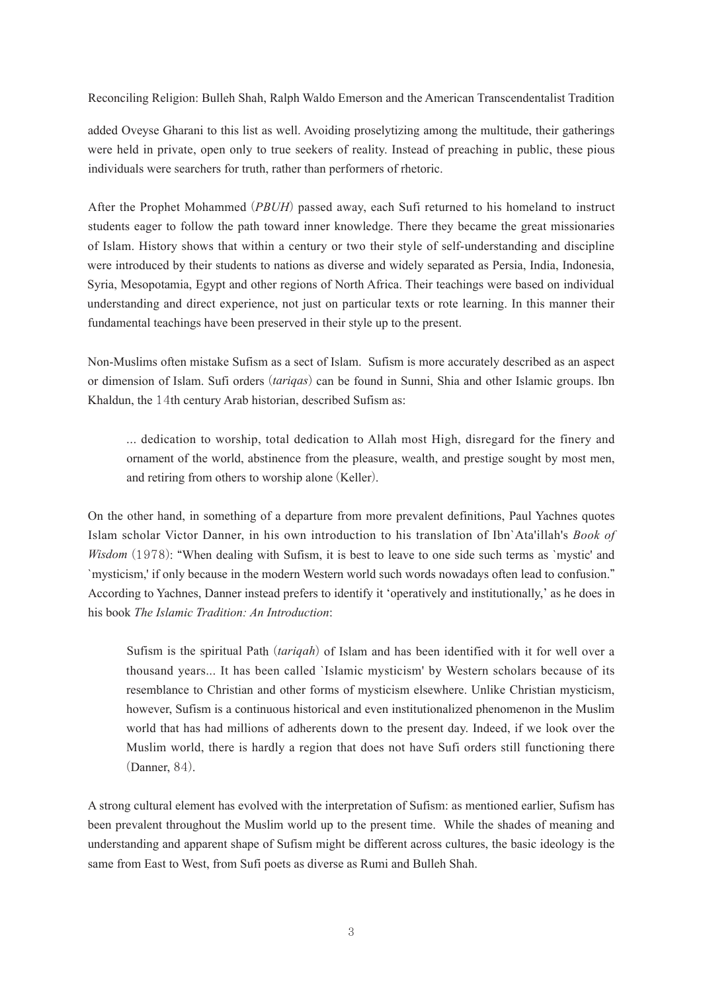added Oveyse Gharani to this list as well. Avoiding proselytizing among the multitude, their gatherings were held in private, open only to true seekers of reality. Instead of preaching in public, these pious individuals were searchers for truth, rather than performers of rhetoric.

After the Prophet Mohammed (*PBUH*) passed away, each Sufi returned to his homeland to instruct students eager to follow the path toward inner knowledge. There they became the great missionaries of Islam. History shows that within a century or two their style of self-understanding and discipline were introduced by their students to nations as diverse and widely separated as Persia, India, Indonesia, Syria, Mesopotamia, Egypt and other regions of North Africa. Their teachings were based on individual understanding and direct experience, not just on particular texts or rote learning. In this manner their fundamental teachings have been preserved in their style up to the present.

Non-Muslims often mistake Sufism as a sect of Islam. Sufism is more accurately described as an aspect or dimension of Islam. Sufi orders (*tariqas*) can be found in Sunni, Shia and other Islamic groups. Ibn Khaldun, the 14th century Arab historian, described Sufism as:

... dedication to worship, total dedication to Allah most High, disregard for the finery and ornament of the world, abstinence from the pleasure, wealth, and prestige sought by most men, and retiring from others to worship alone (Keller).

On the other hand, in something of a departure from more prevalent definitions, Paul Yachnes quotes Islam scholar Victor Danner, in his own introduction to his translation of Ibn`Ata'illah's *Book of Wisdom* (1978): "When dealing with Sufism, it is best to leave to one side such terms as `mystic' and `mysticism,' if only because in the modern Western world such words nowadays often lead to confusion." According to Yachnes, Danner instead prefers to identify it ʻoperatively and institutionally,' as he does in his book *The Islamic Tradition: An Introduction*:

Sufism is the spiritual Path (*tariqah*) of Islam and has been identified with it for well over a thousand years... It has been called `Islamic mysticism' by Western scholars because of its resemblance to Christian and other forms of mysticism elsewhere. Unlike Christian mysticism, however, Sufism is a continuous historical and even institutionalized phenomenon in the Muslim world that has had millions of adherents down to the present day. Indeed, if we look over the Muslim world, there is hardly a region that does not have Sufi orders still functioning there (Danner, 84).

A strong cultural element has evolved with the interpretation of Sufism: as mentioned earlier, Sufism has been prevalent throughout the Muslim world up to the present time. While the shades of meaning and understanding and apparent shape of Sufism might be different across cultures, the basic ideology is the same from East to West, from Sufi poets as diverse as Rumi and Bulleh Shah.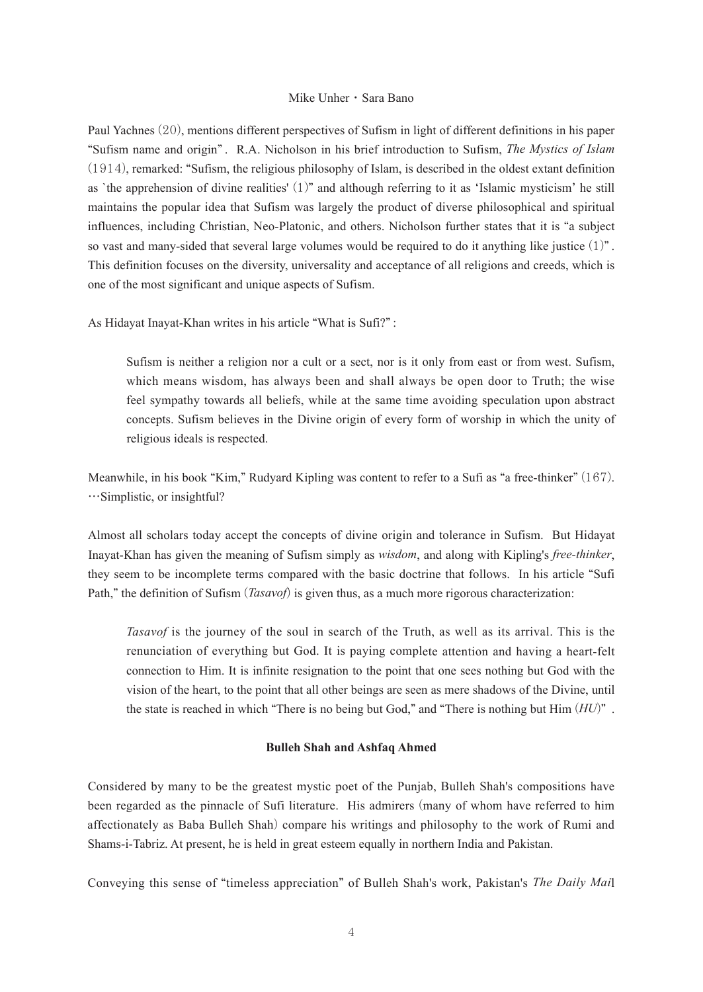Paul Yachnes (20), mentions different perspectives of Sufism in light of different definitions in his paper "Sufism name and origin" . R.A. Nicholson in his brief introduction to Sufism, *The Mystics of Islam*  (1914), remarked: "Sufism, the religious philosophy of Islam, is described in the oldest extant definition as `the apprehension of divine realities' (1)" and although referring to it as ʻIslamic mysticism' he still maintains the popular idea that Sufism was largely the product of diverse philosophical and spiritual influences, including Christian, Neo-Platonic, and others. Nicholson further states that it is "a subject so vast and many-sided that several large volumes would be required to do it anything like justice  $(1)$ ". This definition focuses on the diversity, universality and acceptance of all religions and creeds, which is one of the most significant and unique aspects of Sufism.

As Hidayat Inayat-Khan writes in his article "What is Sufi?" :

Sufism is neither a religion nor a cult or a sect, nor is it only from east or from west. Sufism, which means wisdom, has always been and shall always be open door to Truth; the wise feel sympathy towards all beliefs, while at the same time avoiding speculation upon abstract concepts. Sufism believes in the Divine origin of every form of worship in which the unity of religious ideals is respected.

Meanwhile, in his book "Kim," Rudyard Kipling was content to refer to a Sufi as "a free-thinker" (167). …Simplistic, or insightful?

Almost all scholars today accept the concepts of divine origin and tolerance in Sufism. But Hidayat Inayat-Khan has given the meaning of Sufism simply as *wisdom*, and along with Kipling's *free-thinker*, they seem to be incomplete terms compared with the basic doctrine that follows. In his article "Sufi Path," the definition of Sufism (*Tasavof*) is given thus, as a much more rigorous characterization:

*Tasavof* is the journey of the soul in search of the Truth, as well as its arrival. This is the renunciation of everything but God. It is paying complete attention and having a heart-felt connection to Him. It is infinite resignation to the point that one sees nothing but God with the vision of the heart, to the point that all other beings are seen as mere shadows of the Divine, until the state is reached in which "There is no being but God," and "There is nothing but Him (*HU*)" .

#### **Bulleh Shah and Ashfaq Ahmed**

Considered by many to be the greatest mystic poet of the Punjab, Bulleh Shah's compositions have been regarded as the pinnacle of Sufi literature. His admirers (many of whom have referred to him affectionately as Baba Bulleh Shah) compare his writings and philosophy to the work of Rumi and Shams-i-Tabriz. At present, he is held in great esteem equally in northern India and Pakistan.

Conveying this sense of "timeless appreciation" of Bulleh Shah's work, Pakistan's *The Daily Mai*l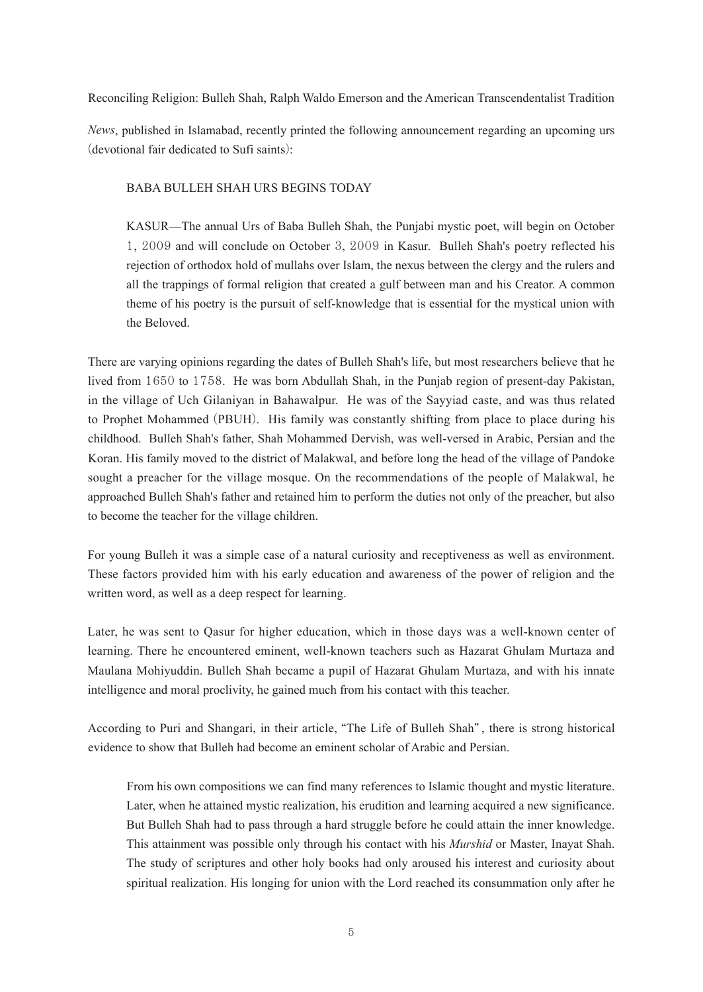*News*, published in Islamabad, recently printed the following announcement regarding an upcoming urs (devotional fair dedicated to Sufi saints):

BABA BULLEH SHAH URS BEGINS TODAY

KASUR—The annual Urs of Baba Bulleh Shah, the Punjabi mystic poet, will begin on October 1, 2009 and will conclude on October 3, 2009 in Kasur. Bulleh Shah's poetry reflected his rejection of orthodox hold of mullahs over Islam, the nexus between the clergy and the rulers and all the trappings of formal religion that created a gulf between man and his Creator. A common theme of his poetry is the pursuit of self-knowledge that is essential for the mystical union with the Beloved.

There are varying opinions regarding the dates of Bulleh Shah's life, but most researchers believe that he lived from 1650 to 1758. He was born Abdullah Shah, in the Punjab region of present-day Pakistan, in the village of Uch Gilaniyan in Bahawalpur. He was of the Sayyiad caste, and was thus related to Prophet Mohammed (PBUH). His family was constantly shifting from place to place during his childhood. Bulleh Shah's father, Shah Mohammed Dervish, was well-versed in Arabic, Persian and the Koran. His family moved to the district of Malakwal, and before long the head of the village of Pandoke sought a preacher for the village mosque. On the recommendations of the people of Malakwal, he approached Bulleh Shah's father and retained him to perform the duties not only of the preacher, but also to become the teacher for the village children.

For young Bulleh it was a simple case of a natural curiosity and receptiveness as well as environment. These factors provided him with his early education and awareness of the power of religion and the written word, as well as a deep respect for learning.

Later, he was sent to Qasur for higher education, which in those days was a well-known center of learning. There he encountered eminent, well-known teachers such as Hazarat Ghulam Murtaza and Maulana Mohiyuddin. Bulleh Shah became a pupil of Hazarat Ghulam Murtaza, and with his innate intelligence and moral proclivity, he gained much from his contact with this teacher.

According to Puri and Shangari, in their article, "The Life of Bulleh Shah" , there is strong historical evidence to show that Bulleh had become an eminent scholar of Arabic and Persian.

From his own compositions we can find many references to Islamic thought and mystic literature. Later, when he attained mystic realization, his erudition and learning acquired a new significance. But Bulleh Shah had to pass through a hard struggle before he could attain the inner knowledge. This attainment was possible only through his contact with his *Murshid* or Master, Inayat Shah. The study of scriptures and other holy books had only aroused his interest and curiosity about spiritual realization. His longing for union with the Lord reached its consummation only after he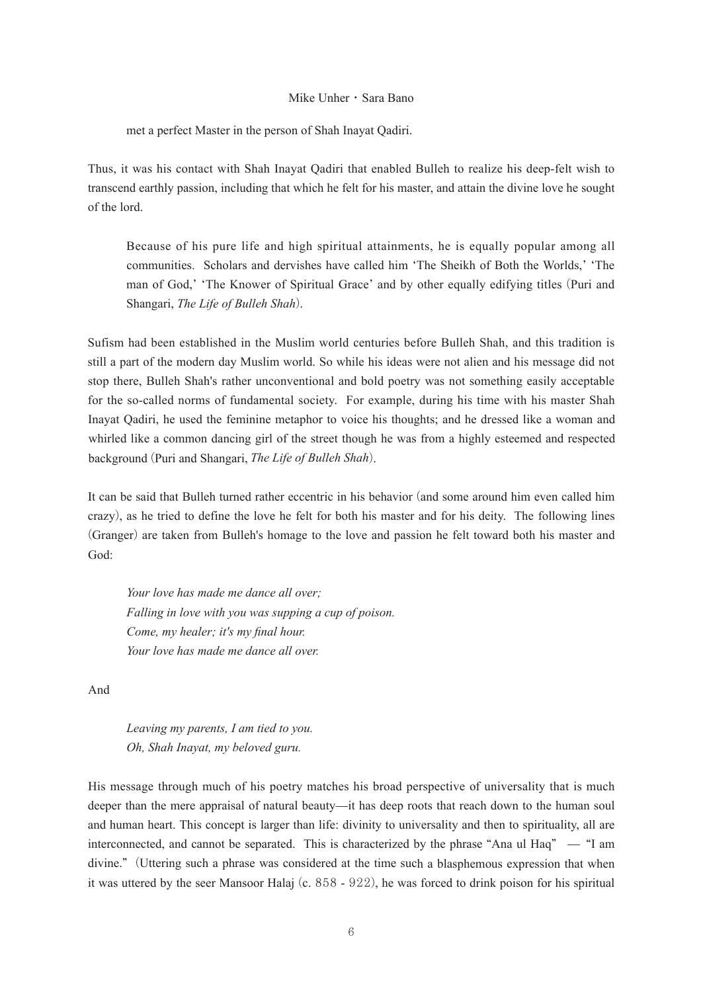met a perfect Master in the person of Shah Inayat Qadiri.

Thus, it was his contact with Shah Inayat Qadiri that enabled Bulleh to realize his deep-felt wish to transcend earthly passion, including that which he felt for his master, and attain the divine love he sought of the lord.

Because of his pure life and high spiritual attainments, he is equally popular among all communities. Scholars and dervishes have called him ʻThe Sheikh of Both the Worlds,' ʻThe man of God,' ʻThe Knower of Spiritual Grace' and by other equally edifying titles (Puri and Shangari, *The Life of Bulleh Shah*).

Sufism had been established in the Muslim world centuries before Bulleh Shah, and this tradition is still a part of the modern day Muslim world. So while his ideas were not alien and his message did not stop there, Bulleh Shah's rather unconventional and bold poetry was not something easily acceptable for the so-called norms of fundamental society. For example, during his time with his master Shah Inayat Qadiri, he used the feminine metaphor to voice his thoughts; and he dressed like a woman and whirled like a common dancing girl of the street though he was from a highly esteemed and respected background (Puri and Shangari, *The Life of Bulleh Shah*).

It can be said that Bulleh turned rather eccentric in his behavior (and some around him even called him crazy), as he tried to define the love he felt for both his master and for his deity. The following lines (Granger) are taken from Bulleh's homage to the love and passion he felt toward both his master and God:

*Your love has made me dance all over; Falling in love with you was supping a cup of poison. Come, my healer; it's my final hour. Your love has made me dance all over.*

And

*Leaving my parents, I am tied to you. Oh, Shah Inayat, my beloved guru.*

His message through much of his poetry matches his broad perspective of universality that is much deeper than the mere appraisal of natural beauty—it has deep roots that reach down to the human soul and human heart. This concept is larger than life: divinity to universality and then to spirituality, all are interconnected, and cannot be separated. This is characterized by the phrase "Ana ul Haq" — "I am divine." (Uttering such a phrase was considered at the time such a blasphemous expression that when it was uttered by the seer Mansoor Halaj (c. 858 - 922), he was forced to drink poison for his spiritual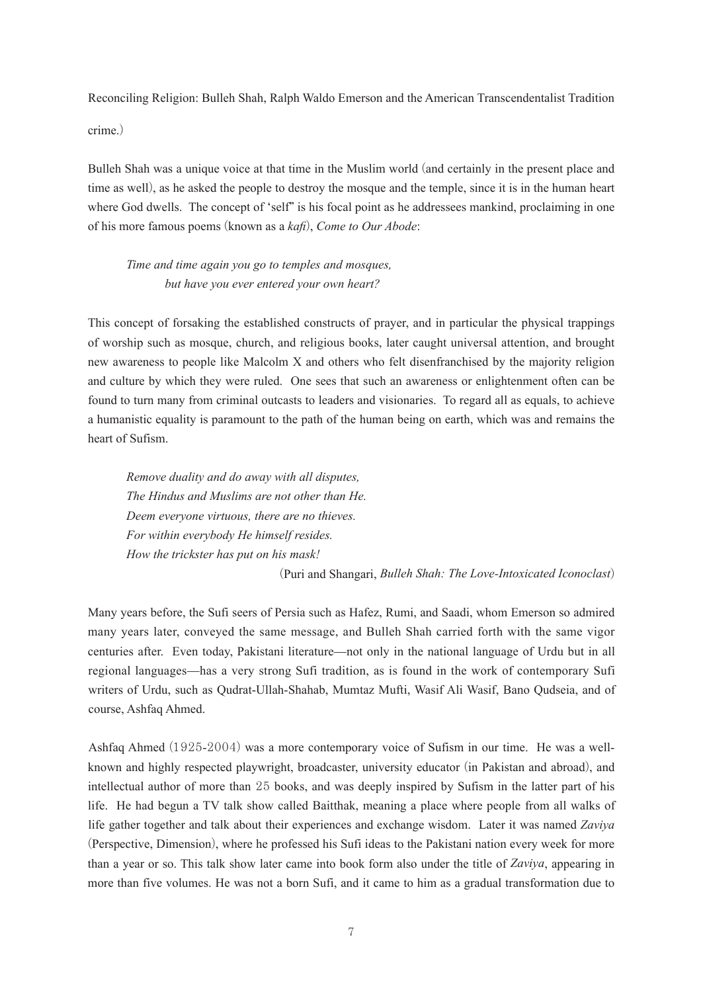Bulleh Shah was a unique voice at that time in the Muslim world (and certainly in the present place and time as well), as he asked the people to destroy the mosque and the temple, since it is in the human heart where God dwells. The concept of 'self' is his focal point as he addressees mankind, proclaiming in one of his more famous poems (known as a *kafi*), *Come to Our Abode*:

*Time and time again you go to temples and mosques, but have you ever entered your own heart?*

This concept of forsaking the established constructs of prayer, and in particular the physical trappings of worship such as mosque, church, and religious books, later caught universal attention, and brought new awareness to people like Malcolm X and others who felt disenfranchised by the majority religion and culture by which they were ruled. One sees that such an awareness or enlightenment often can be found to turn many from criminal outcasts to leaders and visionaries. To regard all as equals, to achieve a humanistic equality is paramount to the path of the human being on earth, which was and remains the heart of Sufism.

*Remove duality and do away with all disputes, The Hindus and Muslims are not other than He. Deem everyone virtuous, there are no thieves. For within everybody He himself resides. How the trickster has put on his mask!*

(Puri and Shangari, *Bulleh Shah: The Love-Intoxicated Iconoclast*)

Many years before, the Sufi seers of Persia such as Hafez, Rumi, and Saadi, whom Emerson so admired many years later, conveyed the same message, and Bulleh Shah carried forth with the same vigor centuries after. Even today, Pakistani literature—not only in the national language of Urdu but in all regional languages—has a very strong Sufi tradition, as is found in the work of contemporary Sufi writers of Urdu, such as Qudrat-Ullah-Shahab, Mumtaz Mufti, Wasif Ali Wasif, Bano Qudseia, and of course, Ashfaq Ahmed.

Ashfaq Ahmed (1925-2004) was a more contemporary voice of Sufism in our time. He was a wellknown and highly respected playwright, broadcaster, university educator (in Pakistan and abroad), and intellectual author of more than 25 books, and was deeply inspired by Sufism in the latter part of his life. He had begun a TV talk show called Baitthak, meaning a place where people from all walks of life gather together and talk about their experiences and exchange wisdom. Later it was named *Zaviya* (Perspective, Dimension), where he professed his Sufi ideas to the Pakistani nation every week for more than a year or so. This talk show later came into book form also under the title of *Zaviya*, appearing in more than five volumes. He was not a born Sufi, and it came to him as a gradual transformation due to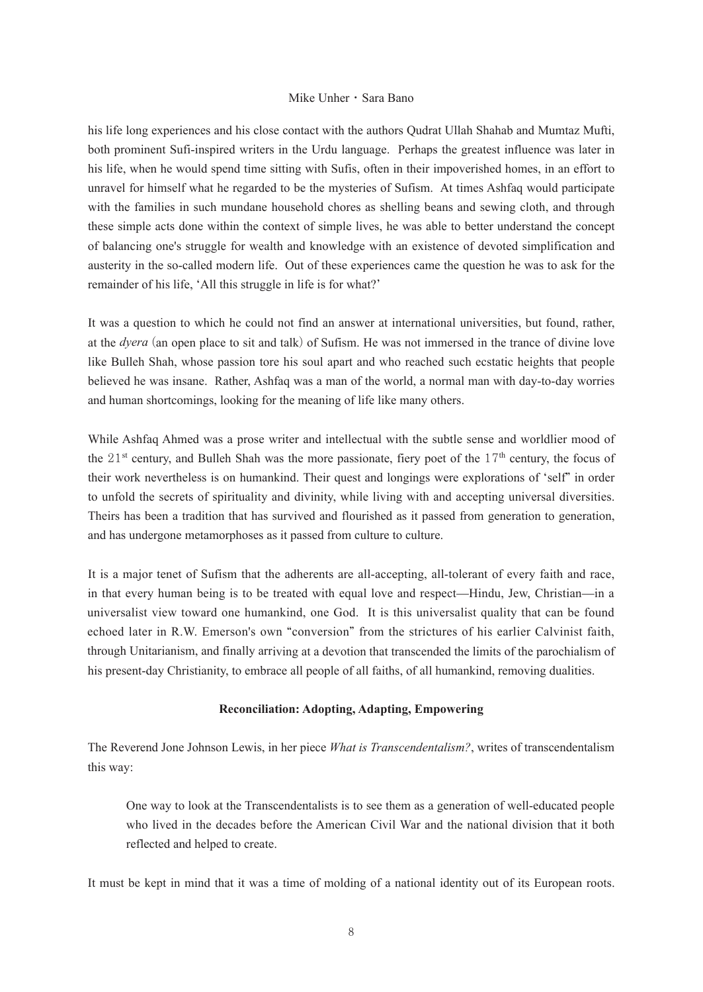his life long experiences and his close contact with the authors Qudrat Ullah Shahab and Mumtaz Mufti, both prominent Sufi-inspired writers in the Urdu language. Perhaps the greatest influence was later in his life, when he would spend time sitting with Sufis, often in their impoverished homes, in an effort to unravel for himself what he regarded to be the mysteries of Sufism. At times Ashfaq would participate with the families in such mundane household chores as shelling beans and sewing cloth, and through these simple acts done within the context of simple lives, he was able to better understand the concept of balancing one's struggle for wealth and knowledge with an existence of devoted simplification and austerity in the so-called modern life. Out of these experiences came the question he was to ask for the remainder of his life, ʻAll this struggle in life is for what?'

It was a question to which he could not find an answer at international universities, but found, rather, at the *dyera* (an open place to sit and talk) of Sufism. He was not immersed in the trance of divine love like Bulleh Shah, whose passion tore his soul apart and who reached such ecstatic heights that people believed he was insane. Rather, Ashfaq was a man of the world, a normal man with day-to-day worries and human shortcomings, looking for the meaning of life like many others.

While Ashfaq Ahmed was a prose writer and intellectual with the subtle sense and worldlier mood of the  $21<sup>st</sup>$  century, and Bulleh Shah was the more passionate, fiery poet of the  $17<sup>th</sup>$  century, the focus of their work nevertheless is on humankind. Their quest and longings were explorations of ʻself" in order to unfold the secrets of spirituality and divinity, while living with and accepting universal diversities. Theirs has been a tradition that has survived and flourished as it passed from generation to generation, and has undergone metamorphoses as it passed from culture to culture.

It is a major tenet of Sufism that the adherents are all-accepting, all-tolerant of every faith and race, in that every human being is to be treated with equal love and respect—Hindu, Jew, Christian—in a universalist view toward one humankind, one God. It is this universalist quality that can be found echoed later in R.W. Emerson's own "conversion" from the strictures of his earlier Calvinist faith, through Unitarianism, and finally arriving at a devotion that transcended the limits of the parochialism of his present-day Christianity, to embrace all people of all faiths, of all humankind, removing dualities.

#### **Reconciliation: Adopting, Adapting, Empowering**

The Reverend Jone Johnson Lewis, in her piece *What is Transcendentalism?*, writes of transcendentalism this way:

One way to look at the Transcendentalists is to see them as a generation of well-educated people who lived in the decades before the American Civil War and the national division that it both reflected and helped to create.

It must be kept in mind that it was a time of molding of a national identity out of its European roots.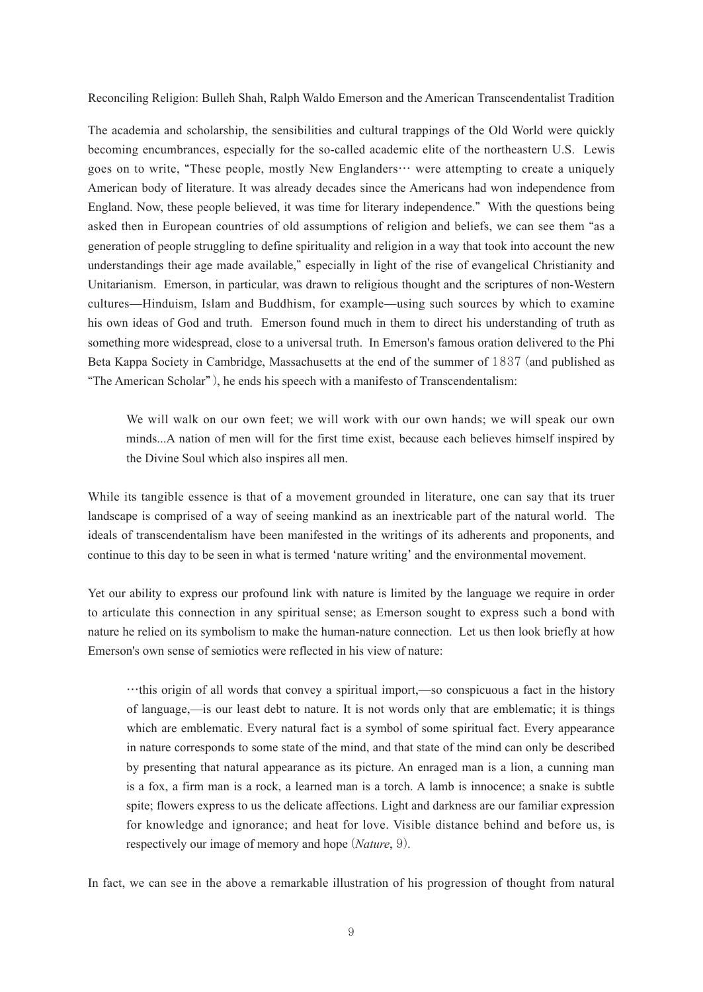The academia and scholarship, the sensibilities and cultural trappings of the Old World were quickly becoming encumbrances, especially for the so-called academic elite of the northeastern U.S. Lewis goes on to write, "These people, mostly New Englanders… were attempting to create a uniquely American body of literature. It was already decades since the Americans had won independence from England. Now, these people believed, it was time for literary independence." With the questions being asked then in European countries of old assumptions of religion and beliefs, we can see them "as a generation of people struggling to define spirituality and religion in a way that took into account the new understandings their age made available," especially in light of the rise of evangelical Christianity and Unitarianism. Emerson, in particular, was drawn to religious thought and the scriptures of non-Western cultures—Hinduism, Islam and Buddhism, for example—using such sources by which to examine his own ideas of God and truth. Emerson found much in them to direct his understanding of truth as something more widespread, close to a universal truth. In Emerson's famous oration delivered to the Phi Beta Kappa Society in Cambridge, Massachusetts at the end of the summer of 1837 (and published as "The American Scholar" ), he ends his speech with a manifesto of Transcendentalism:

We will walk on our own feet; we will work with our own hands; we will speak our own minds...A nation of men will for the first time exist, because each believes himself inspired by the Divine Soul which also inspires all men.

While its tangible essence is that of a movement grounded in literature, one can say that its truer landscape is comprised of a way of seeing mankind as an inextricable part of the natural world. The ideals of transcendentalism have been manifested in the writings of its adherents and proponents, and continue to this day to be seen in what is termed ʻnature writing' and the environmental movement.

Yet our ability to express our profound link with nature is limited by the language we require in order to articulate this connection in any spiritual sense; as Emerson sought to express such a bond with nature he relied on its symbolism to make the human-nature connection. Let us then look briefly at how Emerson's own sense of semiotics were reflected in his view of nature:

…this origin of all words that convey a spiritual import,—so conspicuous a fact in the history of language,—is our least debt to nature. It is not words only that are emblematic; it is things which are emblematic. Every natural fact is a symbol of some spiritual fact. Every appearance in nature corresponds to some state of the mind, and that state of the mind can only be described by presenting that natural appearance as its picture. An enraged man is a lion, a cunning man is a fox, a firm man is a rock, a learned man is a torch. A lamb is innocence; a snake is subtle spite; flowers express to us the delicate affections. Light and darkness are our familiar expression for knowledge and ignorance; and heat for love. Visible distance behind and before us, is respectively our image of memory and hope (*Nature*, 9).

In fact, we can see in the above a remarkable illustration of his progression of thought from natural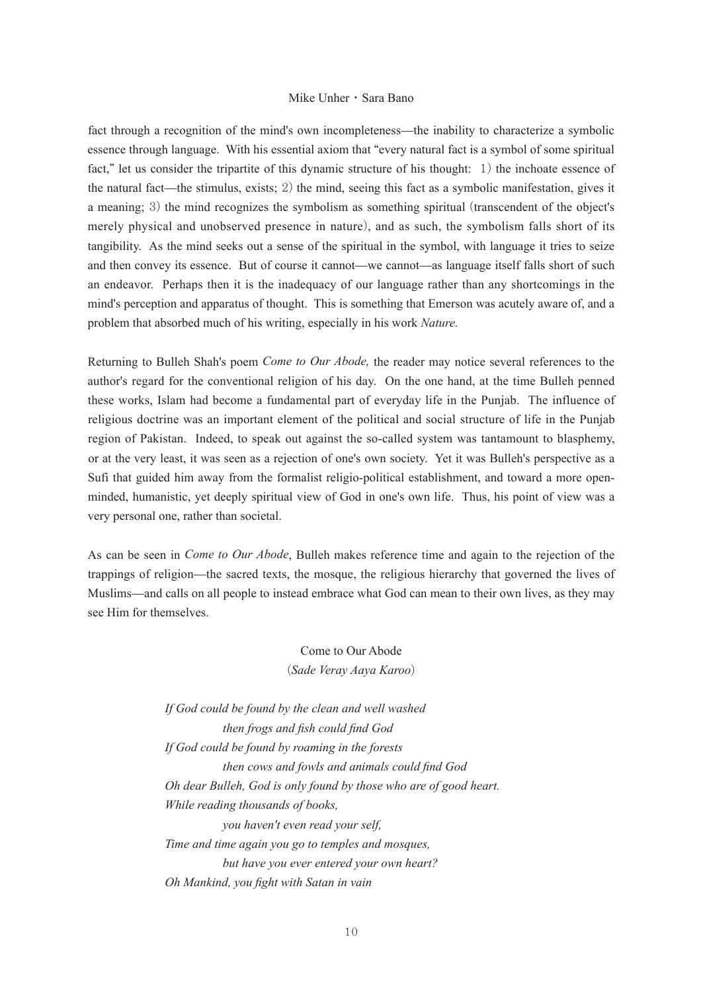fact through a recognition of the mind's own incompleteness—the inability to characterize a symbolic essence through language. With his essential axiom that "every natural fact is a symbol of some spiritual fact," let us consider the tripartite of this dynamic structure of his thought: 1) the inchoate essence of the natural fact—the stimulus, exists; 2) the mind, seeing this fact as a symbolic manifestation, gives it a meaning; 3) the mind recognizes the symbolism as something spiritual (transcendent of the object's merely physical and unobserved presence in nature), and as such, the symbolism falls short of its tangibility. As the mind seeks out a sense of the spiritual in the symbol, with language it tries to seize and then convey its essence. But of course it cannot—we cannot—as language itself falls short of such an endeavor. Perhaps then it is the inadequacy of our language rather than any shortcomings in the mind's perception and apparatus of thought. This is something that Emerson was acutely aware of, and a problem that absorbed much of his writing, especially in his work *Nature.*

Returning to Bulleh Shah's poem *Come to Our Abode,* the reader may notice several references to the author's regard for the conventional religion of his day. On the one hand, at the time Bulleh penned these works, Islam had become a fundamental part of everyday life in the Punjab. The influence of religious doctrine was an important element of the political and social structure of life in the Punjab region of Pakistan. Indeed, to speak out against the so-called system was tantamount to blasphemy, or at the very least, it was seen as a rejection of one's own society. Yet it was Bulleh's perspective as a Sufi that guided him away from the formalist religio-political establishment, and toward a more openminded, humanistic, yet deeply spiritual view of God in one's own life. Thus, his point of view was a very personal one, rather than societal.

As can be seen in *Come to Our Abode*, Bulleh makes reference time and again to the rejection of the trappings of religion—the sacred texts, the mosque, the religious hierarchy that governed the lives of Muslims—and calls on all people to instead embrace what God can mean to their own lives, as they may see Him for themselves.

> Come to Our Abode (*Sade Veray Aaya Karoo*)

*If God could be found by the clean and well washed then frogs and fish could find God If God could be found by roaming in the forests then cows and fowls and animals could find God Oh dear Bulleh, God is only found by those who are of good heart. While reading thousands of books, you haven't even read your self, Time and time again you go to temples and mosques, but have you ever entered your own heart? Oh Mankind, you fight with Satan in vain*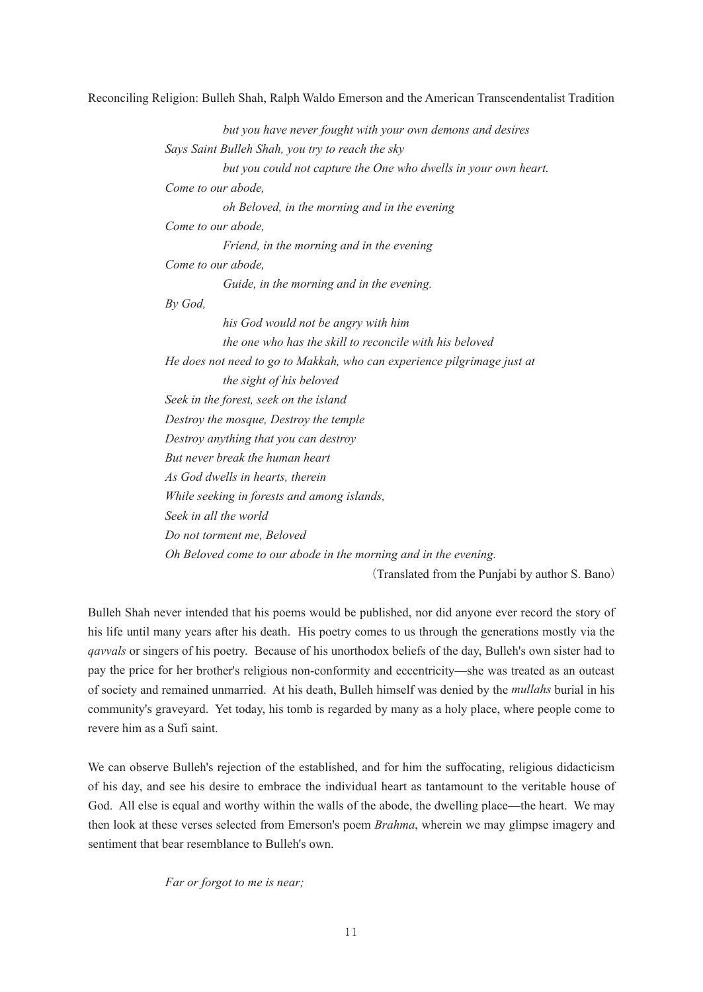*but you have never fought with your own demons and desires Says Saint Bulleh Shah, you try to reach the sky but you could not capture the One who dwells in your own heart. Come to our abode, oh Beloved, in the morning and in the evening Come to our abode, Friend, in the morning and in the evening Come to our abode, Guide, in the morning and in the evening. By God, his God would not be angry with him the one who has the skill to reconcile with his beloved He does not need to go to Makkah, who can experience pilgrimage just at the sight of his beloved Seek in the forest, seek on the island Destroy the mosque, Destroy the temple Destroy anything that you can destroy But never break the human heart As God dwells in hearts, therein While seeking in forests and among islands, Seek in all the world Do not torment me, Beloved Oh Beloved come to our abode in the morning and in the evening.*

(Translated from the Punjabi by author S. Bano)

Bulleh Shah never intended that his poems would be published, nor did anyone ever record the story of his life until many years after his death. His poetry comes to us through the generations mostly via the *qavvals* or singers of his poetry. Because of his unorthodox beliefs of the day, Bulleh's own sister had to pay the price for her brother's religious non-conformity and eccentricity—she was treated as an outcast of society and remained unmarried. At his death, Bulleh himself was denied by the *mullahs* burial in his community's graveyard. Yet today, his tomb is regarded by many as a holy place, where people come to revere him as a Sufi saint.

We can observe Bulleh's rejection of the established, and for him the suffocating, religious didacticism of his day, and see his desire to embrace the individual heart as tantamount to the veritable house of God. All else is equal and worthy within the walls of the abode, the dwelling place—the heart. We may then look at these verses selected from Emerson's poem *Brahma*, wherein we may glimpse imagery and sentiment that bear resemblance to Bulleh's own.

*Far or forgot to me is near;*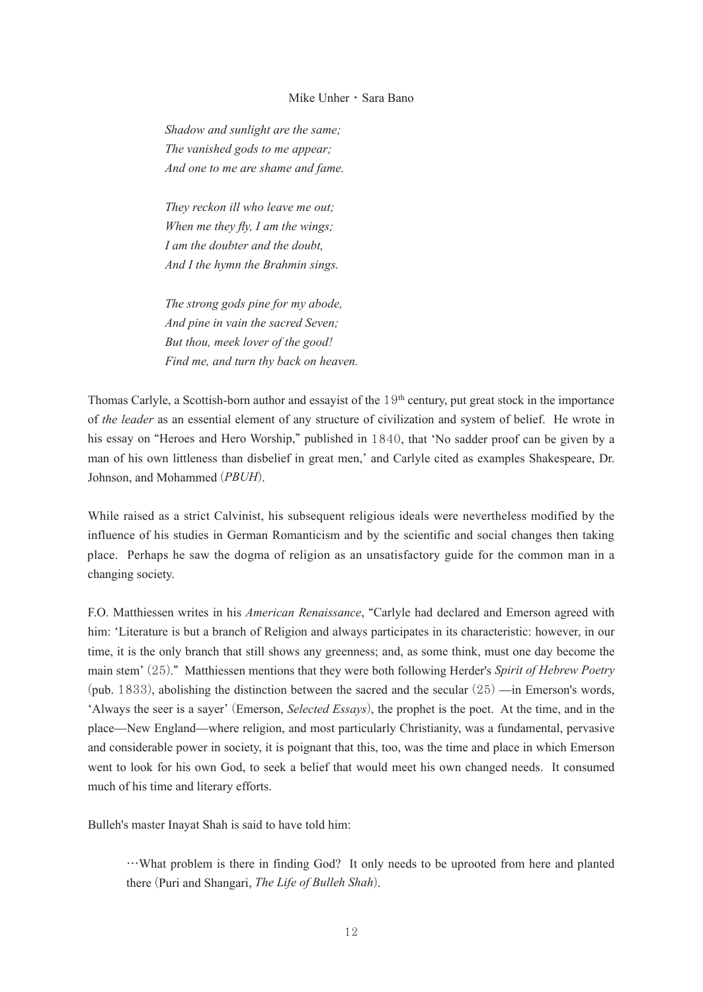*Shadow and sunlight are the same; The vanished gods to me appear; And one to me are shame and fame.*

*They reckon ill who leave me out; When me they fly, I am the wings; I am the doubter and the doubt, And I the hymn the Brahmin sings.*

*The strong gods pine for my abode, And pine in vain the sacred Seven; But thou, meek lover of the good! Find me, and turn thy back on heaven.*

Thomas Carlyle, a Scottish-born author and essayist of the  $19<sup>th</sup>$  century, put great stock in the importance of *the leader* as an essential element of any structure of civilization and system of belief. He wrote in his essay on "Heroes and Hero Worship," published in 1840, that 'No sadder proof can be given by a man of his own littleness than disbelief in great men,' and Carlyle cited as examples Shakespeare, Dr. Johnson, and Mohammed (*PBUH*).

While raised as a strict Calvinist, his subsequent religious ideals were nevertheless modified by the influence of his studies in German Romanticism and by the scientific and social changes then taking place. Perhaps he saw the dogma of religion as an unsatisfactory guide for the common man in a changing society.

F.O. Matthiessen writes in his *American Renaissance*, "Carlyle had declared and Emerson agreed with him: ʻLiterature is but a branch of Religion and always participates in its characteristic: however, in our time, it is the only branch that still shows any greenness; and, as some think, must one day become the main stem' (25)." Matthiessen mentions that they were both following Herder's *Spirit of Hebrew Poetry*  (pub. 1833), abolishing the distinction between the sacred and the secular  $(25)$  —in Emerson's words, ʻAlways the seer is a sayer' (Emerson, *Selected Essays*), the prophet is the poet. At the time, and in the place—New England—where religion, and most particularly Christianity, was a fundamental, pervasive and considerable power in society, it is poignant that this, too, was the time and place in which Emerson went to look for his own God, to seek a belief that would meet his own changed needs. It consumed much of his time and literary efforts.

Bulleh's master Inayat Shah is said to have told him:

…What problem is there in finding God? It only needs to be uprooted from here and planted there (Puri and Shangari, *The Life of Bulleh Shah*).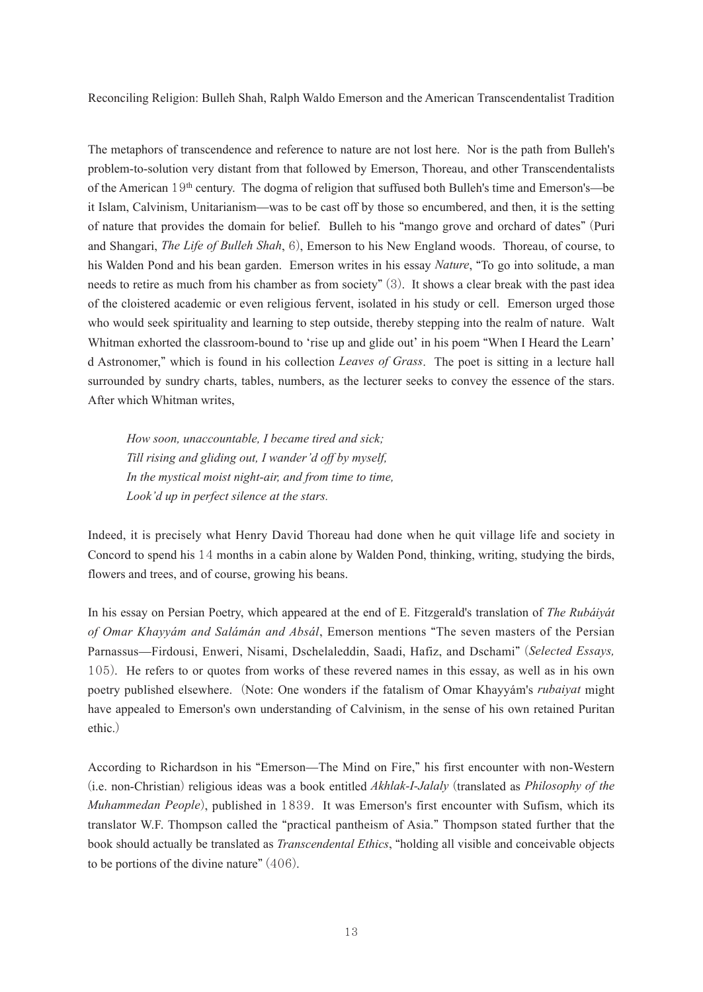The metaphors of transcendence and reference to nature are not lost here. Nor is the path from Bulleh's problem-to-solution very distant from that followed by Emerson, Thoreau, and other Transcendentalists of the American  $19<sup>th</sup>$  century. The dogma of religion that suffused both Bulleh's time and Emerson's—be it Islam, Calvinism, Unitarianism—was to be cast off by those so encumbered, and then, it is the setting of nature that provides the domain for belief. Bulleh to his "mango grove and orchard of dates" (Puri and Shangari, *The Life of Bulleh Shah*, 6), Emerson to his New England woods. Thoreau, of course, to his Walden Pond and his bean garden. Emerson writes in his essay *Nature*, "To go into solitude, a man needs to retire as much from his chamber as from society" (3). It shows a clear break with the past idea of the cloistered academic or even religious fervent, isolated in his study or cell. Emerson urged those who would seek spirituality and learning to step outside, thereby stepping into the realm of nature. Walt Whitman exhorted the classroom-bound to 'rise up and glide out' in his poem "When I Heard the Learn' d Astronomer," which is found in his collection *Leaves of Grass*. The poet is sitting in a lecture hall surrounded by sundry charts, tables, numbers, as the lecturer seeks to convey the essence of the stars. After which Whitman writes,

*How soon, unaccountable, I became tired and sick; Till rising and gliding out, I wander'd off by myself, In the mystical moist night-air, and from time to time, Look'd up in perfect silence at the stars.* 

Indeed, it is precisely what Henry David Thoreau had done when he quit village life and society in Concord to spend his 14 months in a cabin alone by Walden Pond, thinking, writing, studying the birds, flowers and trees, and of course, growing his beans.

In his essay on Persian Poetry, which appeared at the end of E. Fitzgerald's translation of *The Rubáiyát of Omar Khayyám and Salámán and Absál*, Emerson mentions "The seven masters of the Persian Parnassus—Firdousi, Enweri, Nisami, Dschelaleddin, Saadi, Hafiz, and Dschami" (*Selected Essays,* 105). He refers to or quotes from works of these revered names in this essay, as well as in his own poetry published elsewhere. (Note: One wonders if the fatalism of Omar Khayyám's *rubaiyat* might have appealed to Emerson's own understanding of Calvinism, in the sense of his own retained Puritan ethic.)

According to Richardson in his "Emerson—The Mind on Fire," his first encounter with non-Western (i.e. non-Christian) religious ideas was a book entitled *Akhlak-I-Jalaly* (translated as *Philosophy of the Muhammedan People*), published in 1839. It was Emerson's first encounter with Sufism, which its translator W.F. Thompson called the "practical pantheism of Asia." Thompson stated further that the book should actually be translated as *Transcendental Ethics*, "holding all visible and conceivable objects to be portions of the divine nature" (406).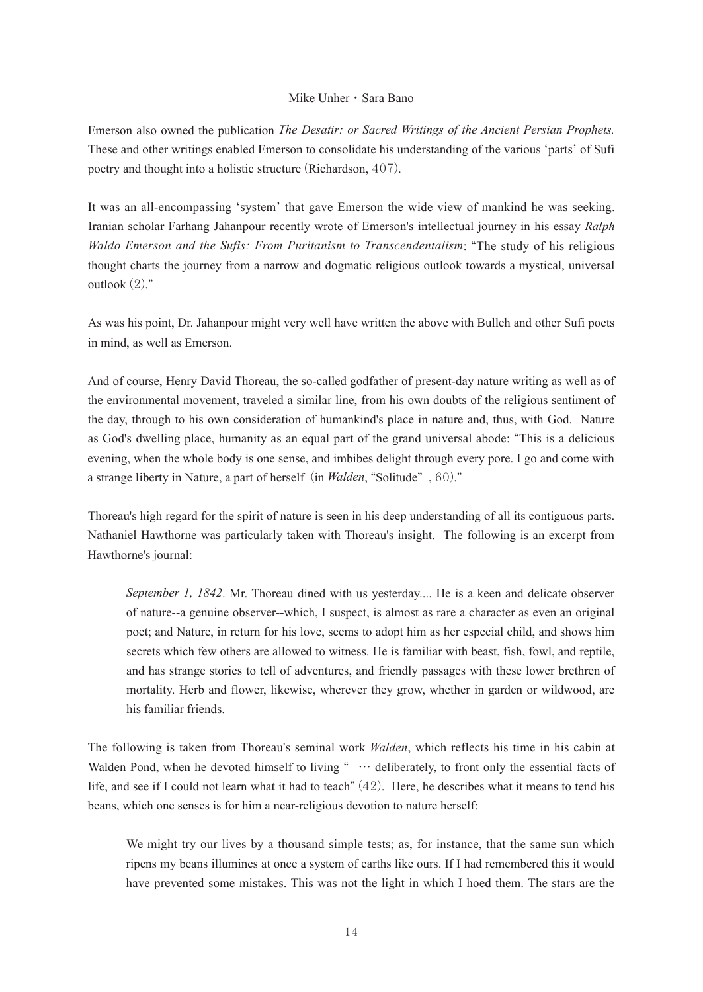Emerson also owned the publication *The Desatir: or Sacred Writings of the Ancient Persian Prophets.* These and other writings enabled Emerson to consolidate his understanding of the various ʻparts' of Sufi poetry and thought into a holistic structure (Richardson, 407).

It was an all-encompassing ʻsystem' that gave Emerson the wide view of mankind he was seeking. Iranian scholar Farhang Jahanpour recently wrote of Emerson's intellectual journey in his essay *Ralph Waldo Emerson and the Sufis: From Puritanism to Transcendentalism*: "The study of his religious thought charts the journey from a narrow and dogmatic religious outlook towards a mystical, universal outlook (2)."

As was his point, Dr. Jahanpour might very well have written the above with Bulleh and other Sufi poets in mind, as well as Emerson.

And of course, Henry David Thoreau, the so-called godfather of present-day nature writing as well as of the environmental movement, traveled a similar line, from his own doubts of the religious sentiment of the day, through to his own consideration of humankind's place in nature and, thus, with God. Nature as God's dwelling place, humanity as an equal part of the grand universal abode: "This is a delicious evening, when the whole body is one sense, and imbibes delight through every pore. I go and come with a strange liberty in Nature, a part of herself (in *Walden*, "Solitude" , 60)."

Thoreau's high regard for the spirit of nature is seen in his deep understanding of all its contiguous parts. Nathaniel Hawthorne was particularly taken with Thoreau's insight. The following is an excerpt from Hawthorne's journal:

*September 1, 1842*. Mr. Thoreau dined with us yesterday.... He is a keen and delicate observer of nature--a genuine observer--which, I suspect, is almost as rare a character as even an original poet; and Nature, in return for his love, seems to adopt him as her especial child, and shows him secrets which few others are allowed to witness. He is familiar with beast, fish, fowl, and reptile, and has strange stories to tell of adventures, and friendly passages with these lower brethren of mortality. Herb and flower, likewise, wherever they grow, whether in garden or wildwood, are his familiar friends.

The following is taken from Thoreau's seminal work *Walden*, which reflects his time in his cabin at Walden Pond, when he devoted himself to living " ... deliberately, to front only the essential facts of life, and see if I could not learn what it had to teach" (42). Here, he describes what it means to tend his beans, which one senses is for him a near-religious devotion to nature herself:

We might try our lives by a thousand simple tests; as, for instance, that the same sun which ripens my beans illumines at once a system of earths like ours. If I had remembered this it would have prevented some mistakes. This was not the light in which I hoed them. The stars are the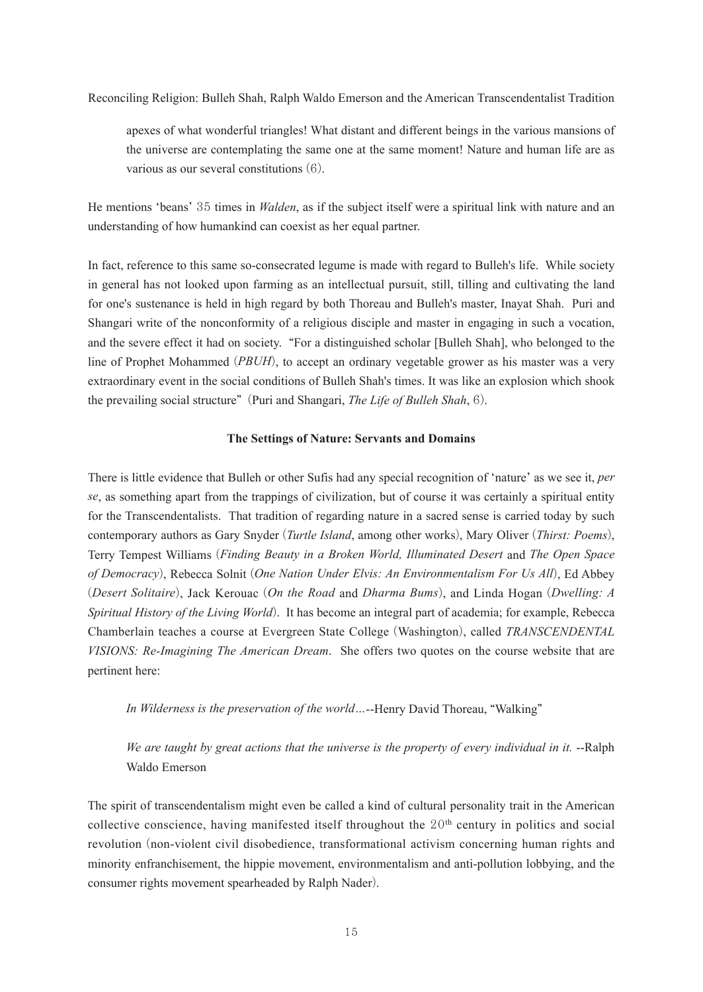apexes of what wonderful triangles! What distant and different beings in the various mansions of the universe are contemplating the same one at the same moment! Nature and human life are as various as our several constitutions (6).

He mentions ʻbeans' 35 times in *Walden*, as if the subject itself were a spiritual link with nature and an understanding of how humankind can coexist as her equal partner.

In fact, reference to this same so-consecrated legume is made with regard to Bulleh's life. While society in general has not looked upon farming as an intellectual pursuit, still, tilling and cultivating the land for one's sustenance is held in high regard by both Thoreau and Bulleh's master, Inayat Shah. Puri and Shangari write of the nonconformity of a religious disciple and master in engaging in such a vocation, and the severe effect it had on society. "For a distinguished scholar [Bulleh Shah], who belonged to the line of Prophet Mohammed (*PBUH*), to accept an ordinary vegetable grower as his master was a very extraordinary event in the social conditions of Bulleh Shah's times. It was like an explosion which shook the prevailing social structure" (Puri and Shangari, *The Life of Bulleh Shah*, 6).

# **The Settings of Nature: Servants and Domains**

There is little evidence that Bulleh or other Sufis had any special recognition of ʻnature' as we see it, *per se*, as something apart from the trappings of civilization, but of course it was certainly a spiritual entity for the Transcendentalists. That tradition of regarding nature in a sacred sense is carried today by such contemporary authors as Gary Snyder (*Turtle Island*, among other works), Mary Oliver (*Thirst: Poems*), Terry Tempest Williams (*Finding Beauty in a Broken World, Illuminated Desert* and *The Open Space of Democracy*), Rebecca Solnit (*One Nation Under Elvis: An Environmentalism For Us All*), Ed Abbey (*Desert Solitaire*), Jack Kerouac (*On the Road* and *Dharma Bums*), and Linda Hogan (*Dwelling: A Spiritual History of the Living World*). It has become an integral part of academia; for example, Rebecca Chamberlain teaches a course at Evergreen State College (Washington), called *TRANSCENDENTAL VISIONS: Re-Imagining The American Dream*. She offers two quotes on the course website that are pertinent here:

*In Wilderness is the preservation of the world…*--Henry David Thoreau, "Walking"

*We are taught by great actions that the universe is the property of every individual in it.* --Ralph Waldo Emerson

The spirit of transcendentalism might even be called a kind of cultural personality trait in the American collective conscience, having manifested itself throughout the  $20<sup>th</sup>$  century in politics and social revolution (non-violent civil disobedience, transformational activism concerning human rights and minority enfranchisement, the hippie movement, environmentalism and anti-pollution lobbying, and the consumer rights movement spearheaded by Ralph Nader).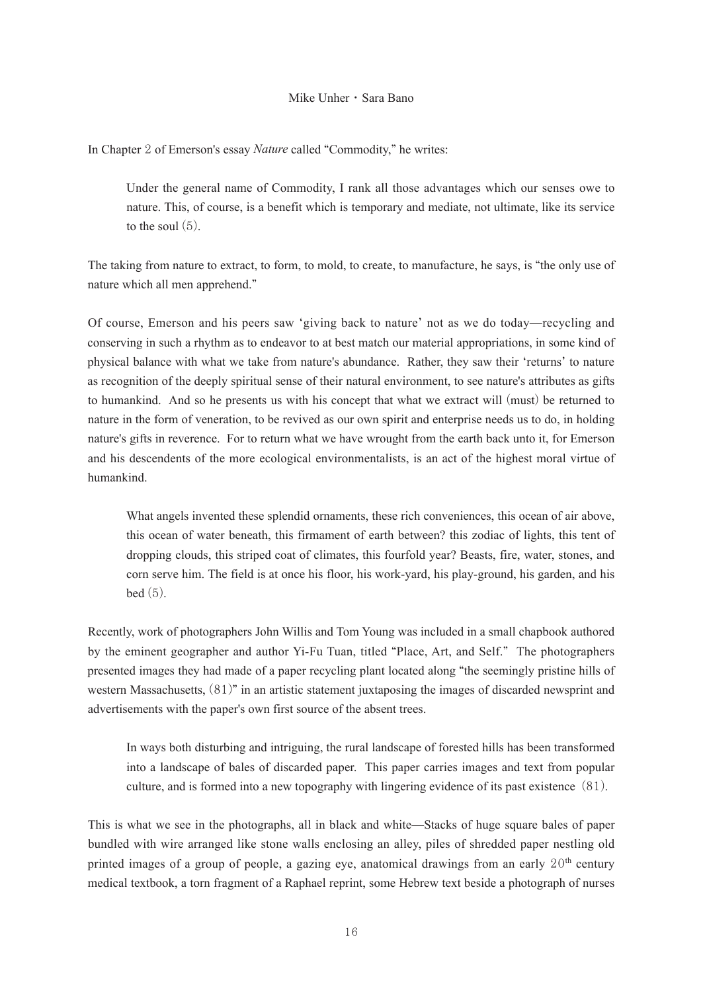In Chapter 2 of Emerson's essay *Nature* called "Commodity," he writes:

Under the general name of Commodity, I rank all those advantages which our senses owe to nature. This, of course, is a benefit which is temporary and mediate, not ultimate, like its service to the soul  $(5)$ .

The taking from nature to extract, to form, to mold, to create, to manufacture, he says, is "the only use of nature which all men apprehend."

Of course, Emerson and his peers saw ʻgiving back to nature' not as we do today—recycling and conserving in such a rhythm as to endeavor to at best match our material appropriations, in some kind of physical balance with what we take from nature's abundance. Rather, they saw their ʻreturns' to nature as recognition of the deeply spiritual sense of their natural environment, to see nature's attributes as gifts to humankind. And so he presents us with his concept that what we extract will (must) be returned to nature in the form of veneration, to be revived as our own spirit and enterprise needs us to do, in holding nature's gifts in reverence. For to return what we have wrought from the earth back unto it, for Emerson and his descendents of the more ecological environmentalists, is an act of the highest moral virtue of humankind.

What angels invented these splendid ornaments, these rich conveniences, this ocean of air above, this ocean of water beneath, this firmament of earth between? this zodiac of lights, this tent of dropping clouds, this striped coat of climates, this fourfold year? Beasts, fire, water, stones, and corn serve him. The field is at once his floor, his work-yard, his play-ground, his garden, and his  $bed(5)$ .

Recently, work of photographers John Willis and Tom Young was included in a small chapbook authored by the eminent geographer and author Yi-Fu Tuan, titled "Place, Art, and Self." The photographers presented images they had made of a paper recycling plant located along "the seemingly pristine hills of western Massachusetts, (81)" in an artistic statement juxtaposing the images of discarded newsprint and advertisements with the paper's own first source of the absent trees.

In ways both disturbing and intriguing, the rural landscape of forested hills has been transformed into a landscape of bales of discarded paper. This paper carries images and text from popular culture, and is formed into a new topography with lingering evidence of its past existence (81).

This is what we see in the photographs, all in black and white—Stacks of huge square bales of paper bundled with wire arranged like stone walls enclosing an alley, piles of shredded paper nestling old printed images of a group of people, a gazing eye, anatomical drawings from an early  $20<sup>th</sup>$  century medical textbook, a torn fragment of a Raphael reprint, some Hebrew text beside a photograph of nurses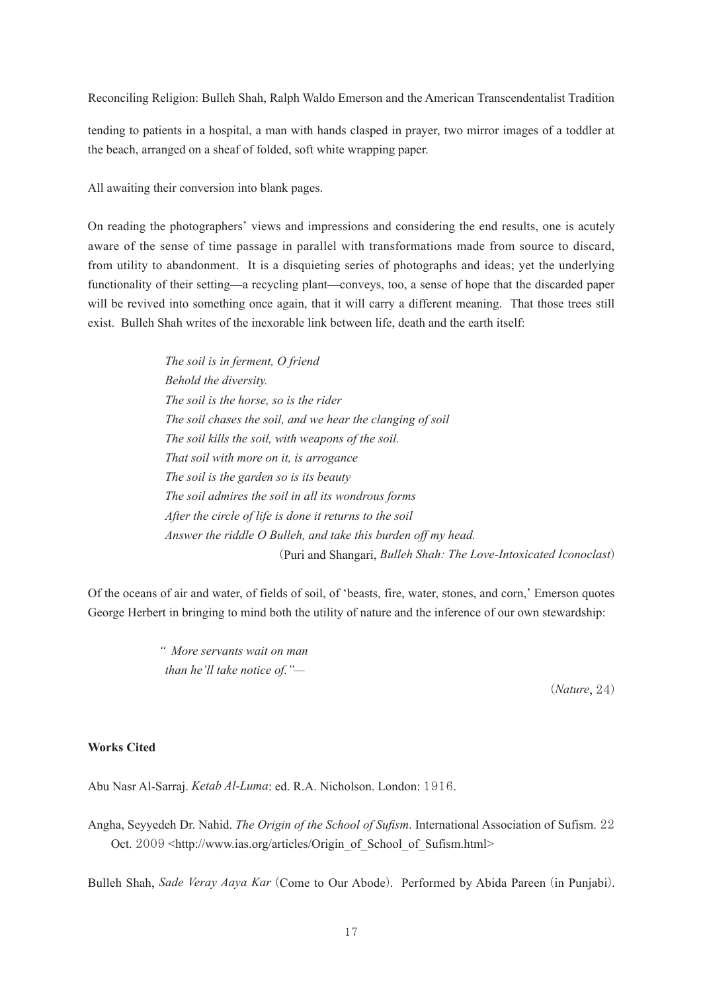tending to patients in a hospital, a man with hands clasped in prayer, two mirror images of a toddler at the beach, arranged on a sheaf of folded, soft white wrapping paper.

All awaiting their conversion into blank pages.

On reading the photographers' views and impressions and considering the end results, one is acutely aware of the sense of time passage in parallel with transformations made from source to discard, from utility to abandonment. It is a disquieting series of photographs and ideas; yet the underlying functionality of their setting—a recycling plant—conveys, too, a sense of hope that the discarded paper will be revived into something once again, that it will carry a different meaning. That those trees still exist. Bulleh Shah writes of the inexorable link between life, death and the earth itself:

> *The soil is in ferment, O friend Behold the diversity. The soil is the horse, so is the rider The soil chases the soil, and we hear the clanging of soil The soil kills the soil, with weapons of the soil. That soil with more on it, is arrogance The soil is the garden so is its beauty The soil admires the soil in all its wondrous forms After the circle of life is done it returns to the soil Answer the riddle O Bulleh, and take this burden off my head.* (Puri and Shangari, *Bulleh Shah: The Love-Intoxicated Iconoclast*)

Of the oceans of air and water, of fields of soil, of ʻbeasts, fire, water, stones, and corn,' Emerson quotes George Herbert in bringing to mind both the utility of nature and the inference of our own stewardship:

> *" More servants wait on man than he'll take notice of."—*

> > (*Nature*, 24)

# **Works Cited**

Abu Nasr Al-Sarraj. *Ketab Al-Luma*: ed. R.A. Nicholson. London: 1916.

Angha, Seyyedeh Dr. Nahid. *The Origin of the School of Sufism*. International Association of Sufism. 22 Oct. 2009 <http://www.ias.org/articles/Origin\_of\_School\_of\_Sufism.html>

Bulleh Shah, *Sade Veray Aaya Kar* (Come to Our Abode). Performed by Abida Pareen (in Punjabi).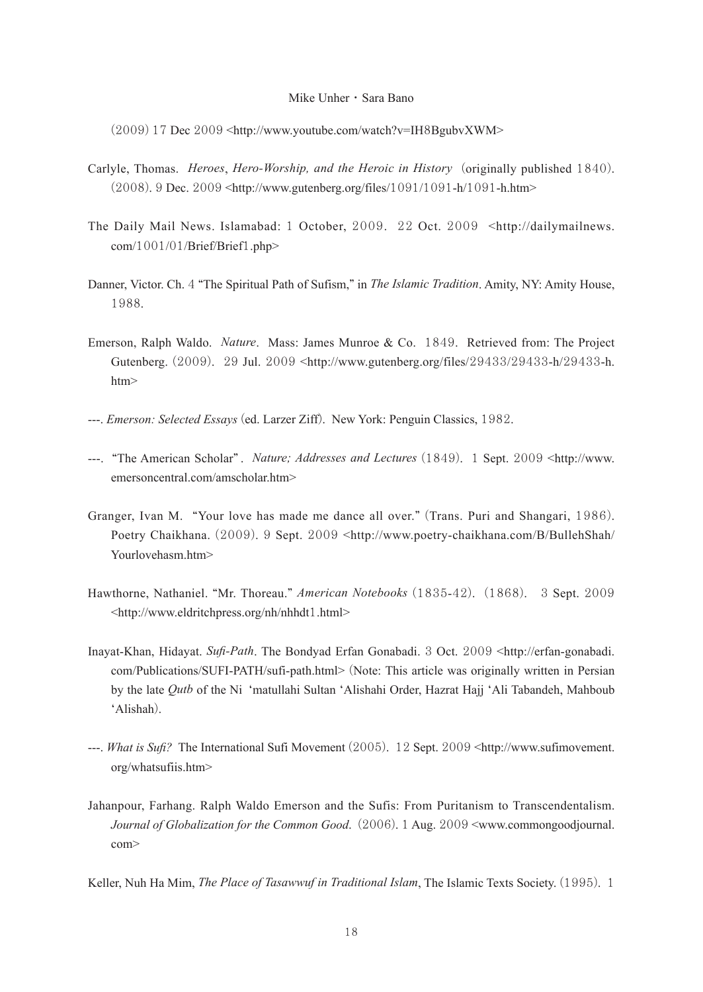(2009) 17 Dec 2009 <http://www.youtube.com/watch?v=IH8BgubvXWM>

- Carlyle, Thomas. *Heroes*, *Hero-Worship, and the Heroic in History* (originally published 1840). (2008). 9 Dec. 2009 <http://www.gutenberg.org/files/1091/1091-h/1091-h.htm>
- The Daily Mail News. Islamabad: 1 October, 2009. 22 Oct. 2009 <http://dailymailnews. com/1001/01/Brief/Brief1.php>
- Danner, Victor. Ch. 4 "The Spiritual Path of Sufism," in *The Islamic Tradition*. Amity, NY: Amity House, 1988.
- Emerson, Ralph Waldo. *Nature*. Mass: James Munroe & Co. 1849. Retrieved from: The Project Gutenberg. (2009). 29 Jul. 2009 <http://www.gutenberg.org/files/29433/29433-h/29433-h. htm>
- ---. *Emerson: Selected Essays* (ed. Larzer Ziff). New York: Penguin Classics, 1982.
- ---. "The American Scholar" . *Nature; Addresses and Lectures* (1849). 1 Sept. 2009 <http://www. emersoncentral.com/amscholar.htm>
- Granger, Ivan M. "Your love has made me dance all over." (Trans. Puri and Shangari, 1986). Poetry Chaikhana. (2009). 9 Sept. 2009 <http://www.poetry-chaikhana.com/B/BullehShah/ Yourlovehasm.htm>
- Hawthorne, Nathaniel. "Mr. Thoreau." *American Notebooks* (1835-42). (1868). 3 Sept. 2009 <http://www.eldritchpress.org/nh/nhhdt1.html>
- Inayat-Khan, Hidayat. *Sufi-Path*. The Bondyad Erfan Gonabadi. 3 Oct. 2009 <http://erfan-gonabadi. com/Publications/SUFI-PATH/sufi-path.html> (Note: This article was originally written in Persian by the late *Qutb* of the Ni ʻmatullahi Sultan ʻAlishahi Order, Hazrat Hajj ʻAli Tabandeh, Mahboub ʻAlishah).
- ---. *What is Sufi?* The International Sufi Movement (2005). 12 Sept. 2009 <http://www.sufimovement. org/whatsufiis.htm>
- Jahanpour, Farhang. Ralph Waldo Emerson and the Sufis: From Puritanism to Transcendentalism. *Journal of Globalization for the Common Good*. (2006). 1 Aug. 2009 <www.commongoodjournal. com>

Keller, Nuh Ha Mim, *The Place of Tasawwuf in Traditional Islam*, The Islamic Texts Society. (1995). 1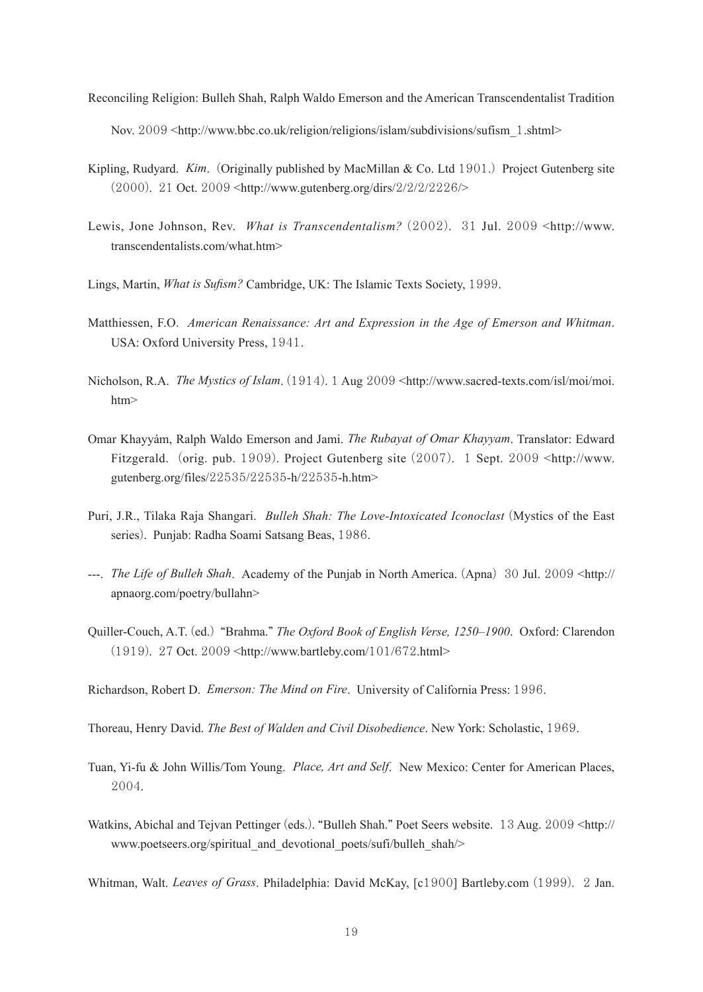- Reconciling Religion: Bulleh Shah, Ralph Waldo Emerson and the American Transcendentalist Tradition Nov. 2009 <http://www.bbc.co.uk/religion/religions/islam/subdivisions/sufism 1.shtml>
- Kipling, Rudyard. *Kim*. (Originally published by MacMillan & Co. Ltd 1901.) Project Gutenberg site (2000). 21 Oct. 2009 <http://www.gutenberg.org/dirs/2/2/2/2226/>
- Lewis, Jone Johnson, Rev. *What is Transcendentalism?* (2002). 31 Jul. 2009 <http://www. transcendentalists.com/what.htm>
- Lings, Martin, *What is Sufism?* Cambridge, UK: The Islamic Texts Society, 1999.
- Matthiessen, F.O. *American Renaissance: Art and Expression in the Age of Emerson and Whitman*. USA: Oxford University Press, 1941.
- Nicholson, R.A. *The Mystics of Islam*. (1914). 1 Aug 2009 <http://www.sacred-texts.com/isl/moi/moi. htm>
- Omar Khayyám, Ralph Waldo Emerson and Jami. *The Rubayat of Omar Khayyam*. Translator: Edward Fitzgerald. (orig. pub. 1909). Project Gutenberg site (2007). 1 Sept. 2009 <http://www. gutenberg.org/files/22535/22535-h/22535-h.htm>
- Puri, J.R., Tilaka Raja Shangari. *Bulleh Shah: The Love-Intoxicated Iconoclast* (Mystics of the East series). Punjab: Radha Soami Satsang Beas, 1986.
- ---. *The Life of Bulleh Shah*. Academy of the Punjab in North America. (Apna) 30 Jul. 2009 <http:// apnaorg.com/poetry/bullahn>
- Quiller-Couch, A.T. (ed.) "Brahma." *The Oxford Book of English Verse, 1250–1900*. Oxford: Clarendon (1919). 27 Oct. 2009 <http://www.bartleby.com/101/672.html>

Richardson, Robert D. *Emerson: The Mind on Fire*. University of California Press: 1996.

Thoreau, Henry David. *The Best of Walden and Civil Disobedience*. New York: Scholastic, 1969.

- Tuan, Yi-fu & John Willis/Tom Young. *Place, Art and Self*. New Mexico: Center for American Places, 2004.
- Watkins, Abichal and Tejvan Pettinger (eds.). "Bulleh Shah." Poet Seers website. 13 Aug. 2009 <http:// www.poetseers.org/spiritual\_and\_devotional\_poets/sufi/bulleh\_shah/>

Whitman, Walt. *Leaves of Grass*. Philadelphia: David McKay, [c1900] Bartleby.com (1999). 2 Jan.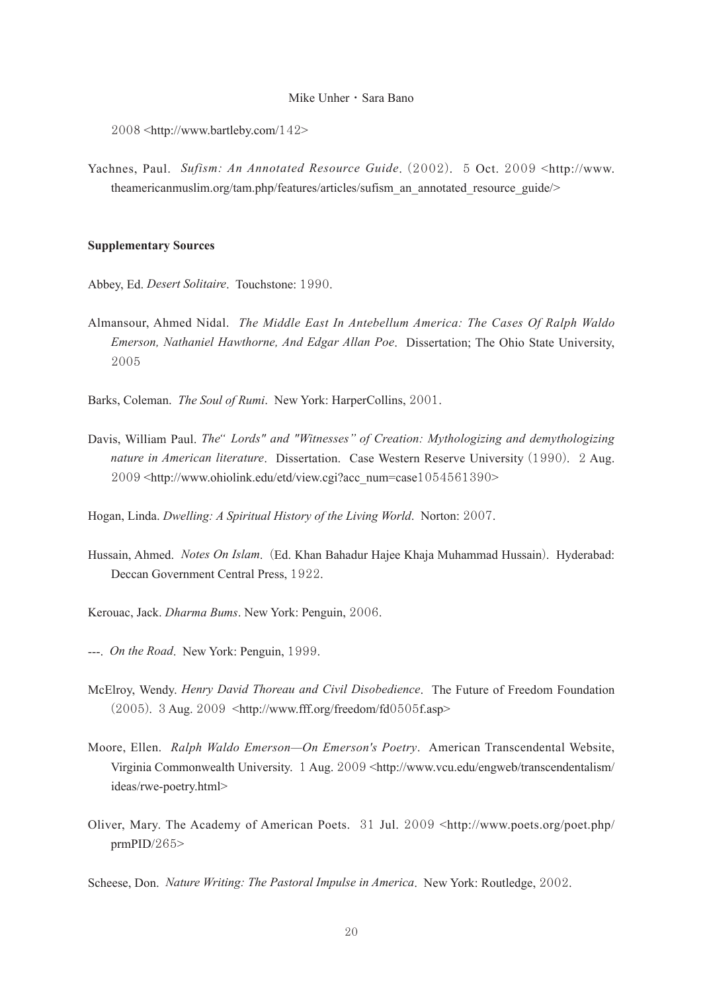2008 <http://www.bartleby.com/142>

Yachnes, Paul. *Sufism: An Annotated Resource Guide*. (2002). 5 Oct. 2009 <http://www. theamericanmuslim.org/tam.php/features/articles/sufism\_an\_annotated\_resource\_guide/>

#### **Supplementary Sources**

- Abbey, Ed. *Desert Solitaire*. Touchstone: 1990.
- Almansour, Ahmed Nidal. *The Middle East In Antebellum America: The Cases Of Ralph Waldo Emerson, Nathaniel Hawthorne, And Edgar Allan Poe*. Dissertation; The Ohio State University, 2005

Barks, Coleman. *The Soul of Rumi*. New York: HarperCollins, 2001.

Davis, William Paul. *The*" Lords" and "Witnesses" of Creation: Mythologizing and demythologizing *nature in American literature*. Dissertation. Case Western Reserve University (1990). 2 Aug. 2009 <http://www.ohiolink.edu/etd/view.cgi?acc\_num=case1054561390>

Hogan, Linda. *Dwelling: A Spiritual History of the Living World*. Norton: 2007.

- Hussain, Ahmed. *Notes On Islam*. (Ed. Khan Bahadur Hajee Khaja Muhammad Hussain). Hyderabad: Deccan Government Central Press, 1922.
- Kerouac, Jack. *Dharma Bums*. New York: Penguin, 2006.
- ---. *On the Road*. New York: Penguin, 1999.
- McElroy, Wendy. *Henry David Thoreau and Civil Disobedience*. The Future of Freedom Foundation (2005). 3 Aug. 2009 <http://www.fff.org/freedom/fd0505f.asp>
- Moore, Ellen. *Ralph Waldo Emerson—On Emerson's Poetry*. American Transcendental Website, Virginia Commonwealth University. 1 Aug. 2009 <http://www.vcu.edu/engweb/transcendentalism/ ideas/rwe-poetry.html>
- Oliver, Mary. The Academy of American Poets. 31 Jul. 2009 <http://www.poets.org/poet.php/ prmPID/265>

Scheese, Don. *Nature Writing: The Pastoral Impulse in America*. New York: Routledge, 2002.